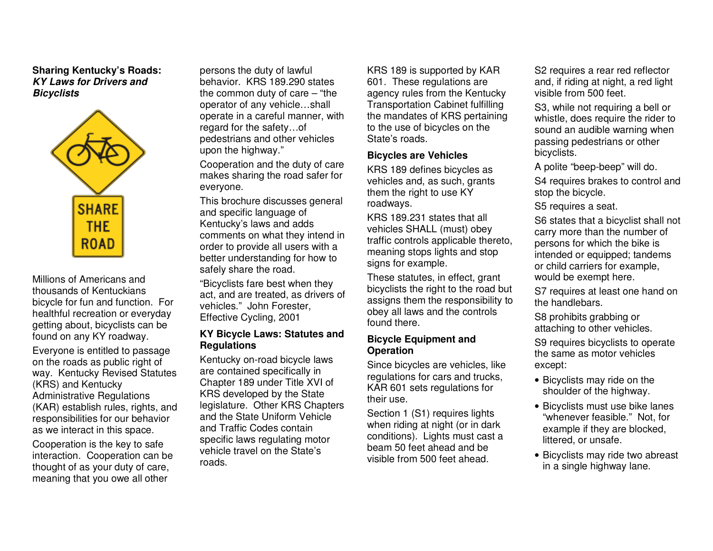## **Sharing Kentucky's Roads: KY Laws for Drivers and Bicyclists**



Millions of Americans and thousands of Kentuckians bicycle for fun and function. For healthful recreation or everyday getting about, bicyclists can be found on any KY roadway. Everyone is entitled to passage on the roads as public right of way. Kentucky Revised Statutes (KRS) and Kentucky Administrative Regulations (KAR) establish rules, rights, and responsibilities for our behavior as we interact in this space. Cooperation is the key to safe interaction. Cooperation can be

thought of as your duty of care, meaning that you owe all other persons the duty of lawful behavior. KRS 189.290 states the common duty of care – "the operator of any vehicle…shall operate in a careful manner, with regard for the safety…of pedestrians and other vehicles upon the highway."

Cooperation and the duty of care makes sharing the road safer for everyone.

This brochure discusses general and specific language of Kentucky's laws and adds comments on what they intend in order to provide all users with a better understanding for how to safely share the road.

"Bicyclists fare best when they act, and are treated, as drivers of vehicles." John Forester, Effective Cycling, 2001

## **KY Bicycle Laws: Statutes and Regulations**

Kentucky on-road bicycle laws are contained specifically in Chapter 189 under Title XVI of KRS developed by the State legislature. Other KRS Chapters and the State Uniform Vehicle and Traffic Codes contain specific laws regulating motor vehicle travel on the State's roads.

KRS 189 is supported by KAR 601. These regulations are agency rules from the Kentucky Transportation Cabinet fulfilling the mandates of KRS pertaining to the use of bicycles on the State's roads.

#### **Bicycles are Vehicles**

KRS 189 defines bicycles as vehicles and, as such, grants them the right to use KY roadways.

KRS 189.231 states that all vehicles SHALL (must) obey traffic controls applicable thereto, meaning stops lights and stop signs for example.

These statutes, in effect, grant bicyclists the right to the road but assigns them the responsibility to obey all laws and the controls found there.

#### **Bicycle Equipment and Operation**

Since bicycles are vehicles, like regulations for cars and trucks, KAR 601 sets regulations for their use.

Section 1 (S1) requires lights when riding at night (or in dark conditions). Lights must cast a beam 50 feet ahead and be visible from 500 feet ahead.

S<sub>2</sub> requires a rear red reflector and, if riding at night, a red light visible from 500 feet.

S3, while not requiring a bell or whistle, does require the rider to sound an audible warning when passing pedestrians or other bicyclists.

A polite "beep-beep" will do.

S4 requires brakes to control and stop the bicycle.

S5 requires a seat.

S6 states that a bicyclist shall not carry more than the number of persons for which the bike is intended or equipped; tandems or child carriers for example, would be exempt here.

S7 requires at least one hand on the handlebars.

S8 prohibits grabbing or attaching to other vehicles.

S9 requires bicyclists to operate the same as motor vehicles except:

- Bicyclists may ride on the shoulder of the highway.
- Bicyclists must use bike lanes "whenever feasible." Not, for example if they are blocked, littered, or unsafe.
- Bicyclists may ride two abreast in a single highway lane.